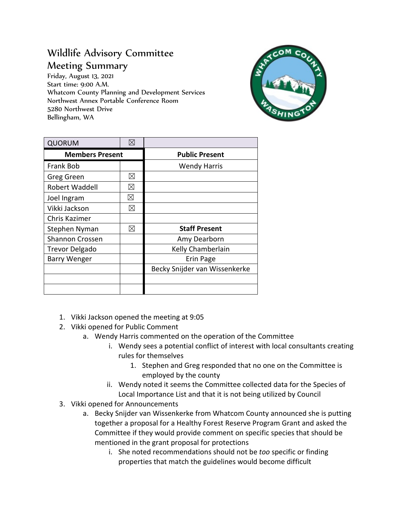## Wildlife Advisory Committee Meeting Summary

Friday, August 13, 2021 Start time: 9:00 A.M. Whatcom County Planning and Development Services Northwest Annex Portable Conference Room 5280 Northwest Drive Bellingham, WA



| <b>QUORUM</b>          | $\boxtimes$ |                               |
|------------------------|-------------|-------------------------------|
| <b>Members Present</b> |             | <b>Public Present</b>         |
| <b>Frank Bob</b>       |             | <b>Wendy Harris</b>           |
| Greg Green             | ⊠           |                               |
| Robert Waddell         | ⊠           |                               |
| Joel Ingram            | ⊠           |                               |
| Vikki Jackson          | $\boxtimes$ |                               |
| Chris Kazimer          |             |                               |
| Stephen Nyman          | $\boxtimes$ | <b>Staff Present</b>          |
| <b>Shannon Crossen</b> |             | Amy Dearborn                  |
| <b>Trevor Delgado</b>  |             | Kelly Chamberlain             |
| <b>Barry Wenger</b>    |             | Erin Page                     |
|                        |             | Becky Snijder van Wissenkerke |
|                        |             |                               |
|                        |             |                               |

- 1. Vikki Jackson opened the meeting at 9:05
- 2. Vikki opened for Public Comment
	- a. Wendy Harris commented on the operation of the Committee
		- i. Wendy sees a potential conflict of interest with local consultants creating rules for themselves
			- 1. Stephen and Greg responded that no one on the Committee is employed by the county
		- ii. Wendy noted it seems the Committee collected data for the Species of Local Importance List and that it is not being utilized by Council
- 3. Vikki opened for Announcements
	- a. Becky Snijder van Wissenkerke from Whatcom County announced she is putting together a proposal for a Healthy Forest Reserve Program Grant and asked the Committee if they would provide comment on specific species that should be mentioned in the grant proposal for protections
		- i. She noted recommendations should not be *too* specific or finding properties that match the guidelines would become difficult